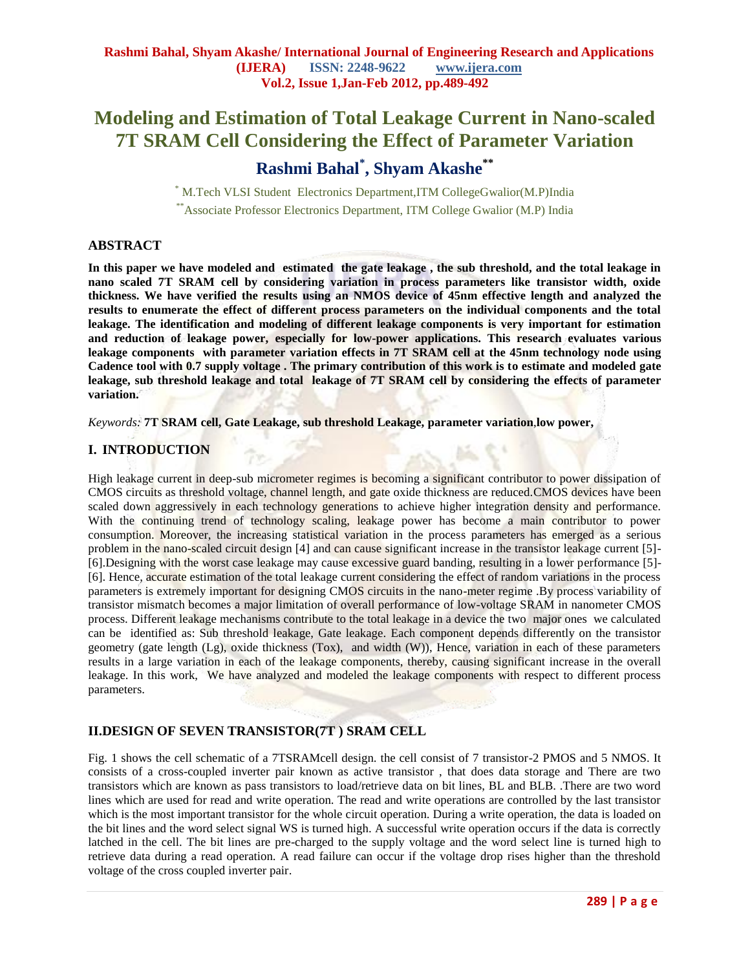# **Modeling and Estimation of Total Leakage Current in Nano-scaled 7T SRAM Cell Considering the Effect of Parameter Variation**

# **Rashmi Bahal\* , Shyam Akashe\*\***

\* M.Tech VLSI Student Electronics Department,ITM CollegeGwalior(M.P)India \*\*Associate Professor Electronics Department, ITM College Gwalior (M.P) India

# **ABSTRACT**

**In this paper we have modeled and estimated the gate leakage , the sub threshold, and the total leakage in nano scaled 7T SRAM cell by considering variation in process parameters like transistor width, oxide thickness. We have verified the results using an NMOS device of 45nm effective length and analyzed the results to enumerate the effect of different process parameters on the individual components and the total leakage. The identification and modeling of different leakage components is very important for estimation and reduction of leakage power, especially for low-power applications. This research evaluates various leakage components with parameter variation effects in 7T SRAM cell at the 45nm technology node using Cadence tool with 0.7 supply voltage . The primary contribution of this work is to estimate and modeled gate leakage, sub threshold leakage and total leakage of 7T SRAM cell by considering the effects of parameter variation.**

*Keywords:* **7T SRAM cell, Gate Leakage, sub threshold Leakage, parameter variation**,**low power,**

# **I. INTRODUCTION**

High leakage current in deep-sub micrometer regimes is becoming a significant contributor to power dissipation of CMOS circuits as threshold voltage, channel length, and gate oxide thickness are reduced.CMOS devices have been scaled down aggressively in each technology generations to achieve higher integration density and performance. With the continuing trend of technology scaling, leakage power has become a main contributor to power consumption. Moreover, the increasing statistical variation in the process parameters has emerged as a serious problem in the nano-scaled circuit design [4] and can cause significant increase in the transistor leakage current [5]- [6].Designing with the worst case leakage may cause excessive guard banding, resulting in a lower performance [5]- [6]. Hence, accurate estimation of the total leakage current considering the effect of random variations in the process parameters is extremely important for designing CMOS circuits in the nano-meter regime .By process variability of transistor mismatch becomes a major limitation of overall performance of low-voltage SRAM in nanometer CMOS process. Different leakage mechanisms contribute to the total leakage in a device the two major ones we calculated can be identified as: Sub threshold leakage, Gate leakage. Each component depends differently on the transistor geometry (gate length (Lg), oxide thickness (Tox), and width (W)), Hence, variation in each of these parameters results in a large variation in each of the leakage components, thereby, causing significant increase in the overall leakage. In this work, We have analyzed and modeled the leakage components with respect to different process parameters.

# **II.DESIGN OF SEVEN TRANSISTOR(7T ) SRAM CELL**

Fig. 1 shows the cell schematic of a 7TSRAMcell design. the cell consist of 7 transistor-2 PMOS and 5 NMOS. It consists of a cross-coupled inverter pair known as active transistor , that does data storage and There are two transistors which are known as pass transistors to load/retrieve data on bit lines, BL and BLB. .There are two word lines which are used for read and write operation. The read and write operations are controlled by the last transistor which is the most important transistor for the whole circuit operation. During a write operation, the data is loaded on the bit lines and the word select signal WS is turned high. A successful write operation occurs if the data is correctly latched in the cell. The bit lines are pre-charged to the supply voltage and the word select line is turned high to retrieve data during a read operation. A read failure can occur if the voltage drop rises higher than the threshold voltage of the cross coupled inverter pair.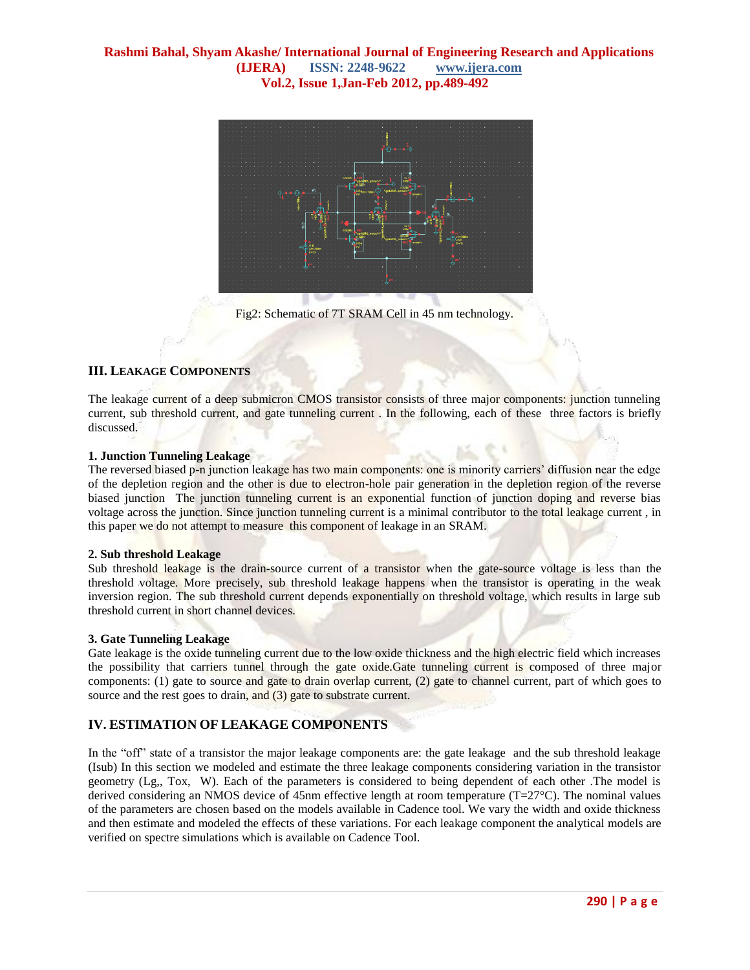

Fig2: Schematic of 7T SRAM Cell in 45 nm technology.

# **III. LEAKAGE COMPONENTS**

The leakage current of a deep submicron CMOS transistor consists of three major components: junction tunneling current, sub threshold current, and gate tunneling current . In the following, each of these three factors is briefly discussed.

#### **1. Junction Tunneling Leakage**

The reversed biased p-n junction leakage has two main components: one is minority carriers' diffusion near the edge of the depletion region and the other is due to electron-hole pair generation in the depletion region of the reverse biased junction The junction tunneling current is an exponential function of junction doping and reverse bias voltage across the junction. Since junction tunneling current is a minimal contributor to the total leakage current, in this paper we do not attempt to measure this component of leakage in an SRAM.

#### **2. Sub threshold Leakage**

Sub threshold leakage is the drain-source current of a transistor when the gate-source voltage is less than the threshold voltage. More precisely, sub threshold leakage happens when the transistor is operating in the weak inversion region. The sub threshold current depends exponentially on threshold voltage, which results in large sub threshold current in short channel devices.

#### **3. Gate Tunneling Leakage**

Gate leakage is the oxide tunneling current due to the low oxide thickness and the high electric field which increases the possibility that carriers tunnel through the gate oxide.Gate tunneling current is composed of three major components: (1) gate to source and gate to drain overlap current, (2) gate to channel current, part of which goes to source and the rest goes to drain, and (3) gate to substrate current.

# **IV. ESTIMATION OF LEAKAGE COMPONENTS**

In the "off" state of a transistor the major leakage components are: the gate leakage and the sub threshold leakage (Isub) In this section we modeled and estimate the three leakage components considering variation in the transistor geometry (Lg,, Tox, W). Each of the parameters is considered to being dependent of each other .The model is derived considering an NMOS device of 45nm effective length at room temperature ( $T=27^{\circ}$ C). The nominal values of the parameters are chosen based on the models available in Cadence tool. We vary the width and oxide thickness and then estimate and modeled the effects of these variations. For each leakage component the analytical models are verified on spectre simulations which is available on Cadence Tool.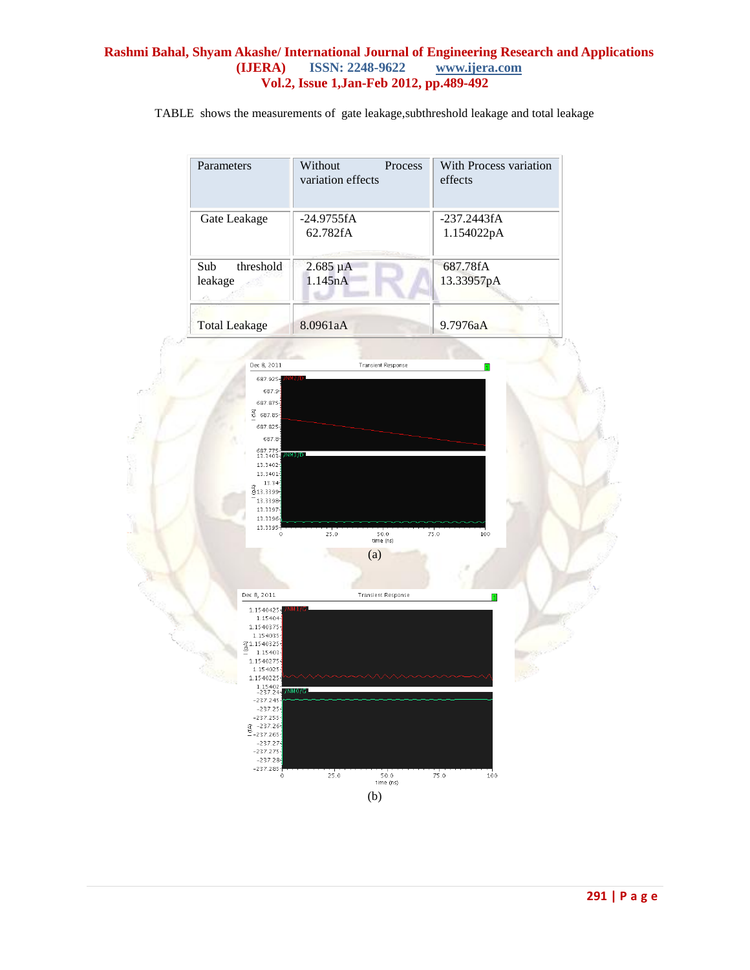# **Rashmi Bahal, Shyam Akashe/ International Journal of Engineering Research and Applications ISSN: 2248-9622 Vol.2, Issue 1,Jan-Feb 2012, pp.489-492**

TABLE shows the measurements of gate leakage,subthreshold leakage and total leakage

| Parameters                   | Without<br>variation effects | With Process variation<br>Process<br>effects |
|------------------------------|------------------------------|----------------------------------------------|
| Gate Leakage                 | $-24.9755fA$<br>62.782fA     | $-237.2443fA$<br>1.154022pA                  |
| threshold<br>Sub-<br>leakage | $2.685 \mu A$<br>1.145nA     | 687.78fA<br>13.33957pA                       |
| <b>Total Leakage</b>         | 8.0961aA                     | 9.7976aA                                     |